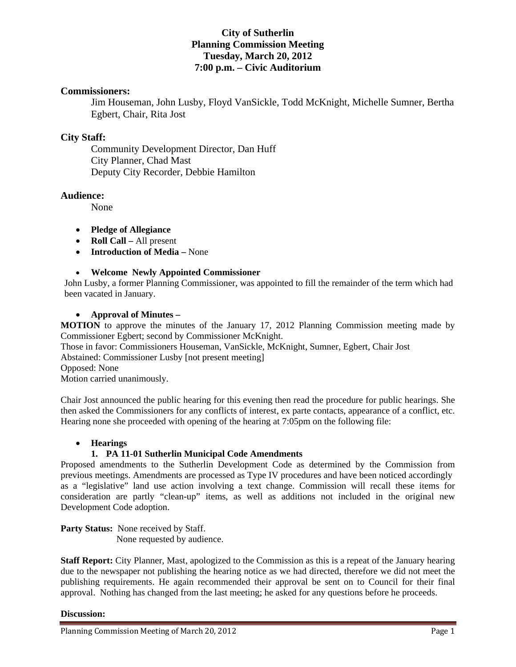# **City of Sutherlin Planning Commission Meeting Tuesday, March 20, 2012 7:00 p.m. – Civic Auditorium**

## **Commissioners:**

Jim Houseman, John Lusby, Floyd VanSickle, Todd McKnight, Michelle Sumner, Bertha Egbert, Chair, Rita Jost

## **City Staff:**

 Community Development Director, Dan Huff City Planner, Chad Mast Deputy City Recorder, Debbie Hamilton

## **Audience:**

None

- **Pledge of Allegiance**
- **Roll Call** All present
- **Introduction of Media** None

#### **Welcome Newly Appointed Commissioner**

John Lusby, a former Planning Commissioner, was appointed to fill the remainder of the term which had been vacated in January.

#### **Approval of Minutes –**

**MOTION** to approve the minutes of the January 17, 2012 Planning Commission meeting made by Commissioner Egbert; second by Commissioner McKnight.

Those in favor: Commissioners Houseman, VanSickle, McKnight, Sumner, Egbert, Chair Jost Abstained: Commissioner Lusby [not present meeting]

Opposed: None

Motion carried unanimously.

Chair Jost announced the public hearing for this evening then read the procedure for public hearings. She then asked the Commissioners for any conflicts of interest, ex parte contacts, appearance of a conflict, etc. Hearing none she proceeded with opening of the hearing at 7:05pm on the following file:

## **Hearings**

## **1. PA 11-01 Sutherlin Municipal Code Amendments**

Proposed amendments to the Sutherlin Development Code as determined by the Commission from previous meetings. Amendments are processed as Type IV procedures and have been noticed accordingly as a "legislative" land use action involving a text change. Commission will recall these items for consideration are partly "clean-up" items, as well as additions not included in the original new Development Code adoption.

**Party Status:** None received by Staff. None requested by audience.

**Staff Report:** City Planner, Mast, apologized to the Commission as this is a repeat of the January hearing due to the newspaper not publishing the hearing notice as we had directed, therefore we did not meet the publishing requirements. He again recommended their approval be sent on to Council for their final approval. Nothing has changed from the last meeting; he asked for any questions before he proceeds.

#### **Discussion:**